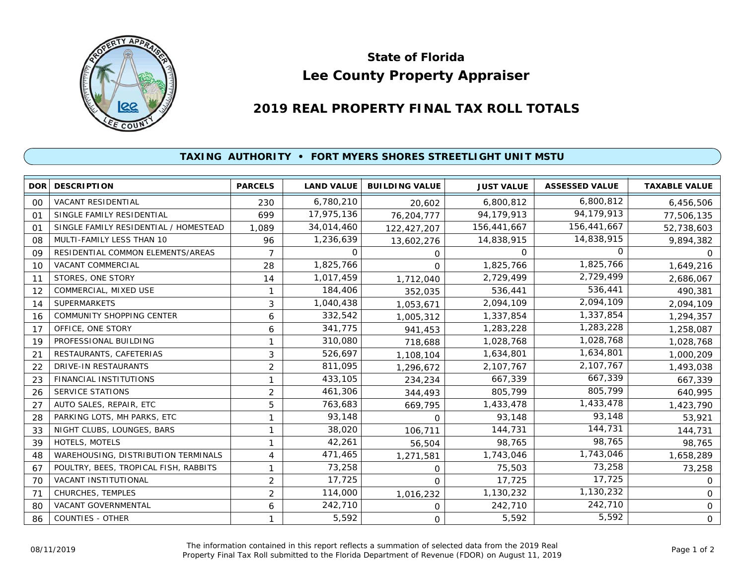

## **Lee County Property Appraiser State of Florida**

## **2019 REAL PROPERTY FINAL TAX ROLL TOTALS**

## **TAXING AUTHORITY • FORT MYERS SHORES STREETLIGHT UNIT MSTU**

| DOR <sup>1</sup> | <b>DESCRIPTION</b>                    | <b>PARCELS</b> | <b>LAND VALUE</b> | <b>BUILDING VALUE</b> | <b>JUST VALUE</b> | <b>ASSESSED VALUE</b> | <b>TAXABLE VALUE</b> |
|------------------|---------------------------------------|----------------|-------------------|-----------------------|-------------------|-----------------------|----------------------|
| 0 <sup>0</sup>   | <b>VACANT RESIDENTIAL</b>             | 230            | 6,780,210         | 20,602                | 6,800,812         | 6,800,812             | 6,456,506            |
| 01               | SINGLE FAMILY RESIDENTIAL             | 699            | 17,975,136        | 76,204,777            | 94,179,913        | 94,179,913            | 77,506,135           |
| 01               | SINGLE FAMILY RESIDENTIAL / HOMESTEAD | 1,089          | 34,014,460        | 122,427,207           | 156,441,667       | 156,441,667           | 52,738,603           |
| 08               | MULTI-FAMILY LESS THAN 10             | 96             | 1,236,639         | 13,602,276            | 14,838,915        | 14,838,915            | 9,894,382            |
| 09               | RESIDENTIAL COMMON ELEMENTS/AREAS     | $\overline{7}$ | $\Omega$          | 0                     | $\Omega$          | $\Omega$              | $\Omega$             |
| 10               | <b>VACANT COMMERCIAL</b>              | 28             | 1,825,766         | $\Omega$              | 1,825,766         | 1,825,766             | 1,649,216            |
| 11               | STORES, ONE STORY                     | 14             | 1,017,459         | 1,712,040             | 2,729,499         | 2,729,499             | 2,686,067            |
| 12               | COMMERCIAL, MIXED USE                 | 1              | 184,406           | 352,035               | 536,441           | 536,441               | 490,381              |
| 14               | <b>SUPERMARKETS</b>                   | 3              | 1,040,438         | 1,053,671             | 2,094,109         | 2,094,109             | 2,094,109            |
| 16               | <b>COMMUNITY SHOPPING CENTER</b>      | 6              | 332,542           | 1,005,312             | 1,337,854         | 1,337,854             | 1,294,357            |
| 17               | OFFICE, ONE STORY                     | 6              | 341,775           | 941,453               | 1,283,228         | 1,283,228             | 1,258,087            |
| 19               | PROFESSIONAL BUILDING                 | 1              | 310,080           | 718,688               | 1,028,768         | 1,028,768             | 1,028,768            |
| 21               | RESTAURANTS, CAFETERIAS               | 3              | 526,697           | 1,108,104             | 1,634,801         | 1,634,801             | 1,000,209            |
| 22               | <b>DRIVE-IN RESTAURANTS</b>           | $\overline{2}$ | 811,095           | 1,296,672             | 2,107,767         | 2,107,767             | 1,493,038            |
| 23               | FINANCIAL INSTITUTIONS                | 1              | 433,105           | 234,234               | 667,339           | 667,339               | 667,339              |
| 26               | <b>SERVICE STATIONS</b>               | $\overline{2}$ | 461,306           | 344,493               | 805,799           | 805,799               | 640,995              |
| 27               | AUTO SALES, REPAIR, ETC               | 5              | 763,683           | 669,795               | 1,433,478         | 1,433,478             | 1,423,790            |
| 28               | PARKING LOTS, MH PARKS, ETC           | 1              | 93,148            | $\Omega$              | 93,148            | 93,148                | 53,921               |
| 33               | NIGHT CLUBS, LOUNGES, BARS            | 1              | 38,020            | 106,711               | 144,731           | 144,731               | 144,731              |
| 39               | HOTELS, MOTELS                        | 1              | 42,261            | 56,504                | 98,765            | 98,765                | 98,765               |
| 48               | WAREHOUSING, DISTRIBUTION TERMINALS   | 4              | 471,465           | 1,271,581             | 1,743,046         | 1,743,046             | 1,658,289            |
| 67               | POULTRY, BEES, TROPICAL FISH, RABBITS | 1              | 73,258            | $\mathbf 0$           | 75,503            | 73,258                | 73,258               |
| 70               | VACANT INSTITUTIONAL                  | $\overline{2}$ | 17,725            | $\Omega$              | 17,725            | 17,725                | 0                    |
| 71               | CHURCHES, TEMPLES                     | 2              | 114,000           | 1,016,232             | 1,130,232         | 1,130,232             | $\overline{0}$       |
| 80               | <b>VACANT GOVERNMENTAL</b>            | 6              | 242,710           | $\mathbf 0$           | 242,710           | 242,710               | 0                    |
| 86               | COUNTIES - OTHER                      | 1              | 5,592             | $\mathbf 0$           | 5,592             | 5,592                 | 0                    |